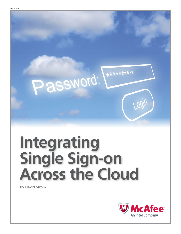# **Integrating Single Sign-on Across the Cloud**

Password:

**By David Strom**



Login

 $***********$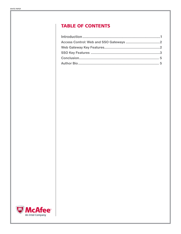# **TABLE OF CONTENTS**

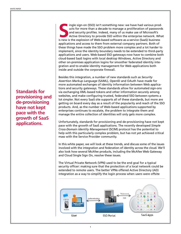**Standards for provisioning and de-provisioning have not kept pace with the growth of SaaS applications.**

<span id="page-2-0"></span>ingle sign-on (SSO) isn't something new: we have had various products for more than a decade to manage a proliferation of password and security profiles. Indeed, many of us make use of Microsoft's Active Directory to provi ingle sign-on (SSO) isn't something new: we have had various products for more than a decade to manage a proliferation of passwords and security profiles. Indeed, many of us make use of Microsoft's Active Directory to provide SSO within the enterprise network. What applications and access to them from external company partners. Both of these things have made the SSO problem more complex and a lot harder to implement, since the identity boundary needs to be extended to third-party applications and users. Web-based SSO gateways now have to combine both cloud-based SaaS logins with local desktop Windows, Active Directory and other on-premises application logins for smoother federated identity integration and to enable identity management for Web applications both inside and outside the corporate firewall.

Besides this integration, a number of new standards such as *Security Assertion Markup Language* (SAML), OpenID and OAuth have made for more automated exchanges of identity information between Web applications and security gateways. These standards allow for automated sign-ons via exchanging XML-based tokens and other information securely among websites, and make configuring trusted, federated SSO between systems a lot simpler. Not every SaaS site supports all of these standards, but more are getting on board every day as a result of the popularity and reach of the SSO products. And, as the number of Web-based applications supported by enterprises continues to escalate, the problem to integrate them and manage the entire collection of identities will only gets more complex.

Unfortunately, standards for provisioning and de-provisioning have not kept pace with the growth of SaaS applications. The recently developed *Simple Cross-Domain Identity Management* (SCIM) protocol has the potential to help with this particularly complex problem, but has not yet achieved critical mass with the Service Provider community.

In this white paper, we will look at these trends, and discuss some of the issues involved with the integration and federation of identity across the cloud. We'll also look how several McAfee products, including the McAfee Web Gateway and Cloud Single Sign On, resolve these issues.

The Virtual Private Network (VPN) used to be the end goal for a typical security officer: making sure that the protection of a local network could be extended to remote users. The better VPNs offered Active Directory (AD) integration as a way to simplify the login process when users were offsite

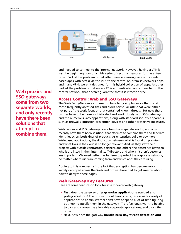<span id="page-3-0"></span>

and needed to connect to the internal network. However, having a VPN is just the beginning now of a wide series of security measures for the enterprise. Part of the problem is that often users are mixing access to cloudbased apps with access via the VPN to the central on-premises network apps, and many VPNs weren't designed for this hybrid collection of apps. Another part of the problem is that once a PC is authenticated and connected to the central network, that doesn't guarantee that it is infection-free.

#### Access Control: Web and SSO Gateways

The Web Proxy/Gateway also used to be a fairly simple device that could cache frequently accessed sites and block particular URLs that were either not part of the work focus or that contained known threats. But now these proxies have to be more sophisticated and work closely with SSO gateways and the numerous SaaS applications, along with standard security apparatus such as firewalls, intrusion prevention devices and other protective measures.

Web proxies and SSO gateways come from two separate worlds, and only recently have there been solutions that attempt to combine them and federate identities across both kinds of products. As enterprises build or buy more Web-based applications, the distinction between what is found on premises and what lives in the cloud is no longer relevant. And, as they staff their projects with outside contractors, partners, and others, the difference between who is are listed in their internal staff directory and who isn't aren't becomes less important. We need better mechanisms to protect the corporate network, no matter where users are coming from and which apps they are using.

Adding to this complexity is the fact that encryption has become more widely deployed across the Web and proxies have had to get smarter about how to decrypt these pages.

## Web Gateway Key Features

Here are some features to look for in a modern Web gateway:

- First, does the gateway offer granular applications control and **policy creation**? The product should easily recognize a wide variety of applications so administrators don't have to spend a lot of time figuring out how to specify them in the gateway. IT professionals want to be able to pick and choose the allowable corporate applications, and block the others.
- Next, how does the gateway **handle zero day threat detection and**

**Web proxies and SSO gateways come from two separate worlds, and only recently have there been solutions that attempt to combine them.**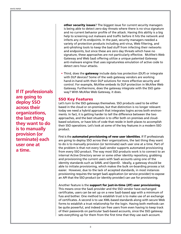**If IT professionals are going to deploy SSO across their organizations, the last thing they want to do is to manually provision (or terminate) each user one at a time.**

<span id="page-4-0"></span>other security issues? The biggest issue for current security managers is being able to detect zero-day threats where there is no virus signature and no current behavior profile of the attack. Having this ability is a big help to screening out malware and traffic before it hits the network and infects any of its endpoints. In the past, security managers needed a variety of protection products including anti-virus, Web filtering, and anti-phishing tools to keep the bad stuff from infecting their networks and endpoints, but since these are zero day threats which have no signature, these approaches are not particularly effective. McAfee's Web Gateway and Web SaaS offering utilize a unique patented *Gateway* anti-malware engine that uses signatureless emulation of active code to detect zero hour attacks.

• Third, does the gateway include data loss protection (DLP) or integrate with DLP devices? Some of the web gateway vendors are working hand-in-hand with their DLP solutions for more effective security and control. For example, McAfee embeds its DLP protection in McAfee Web Gateway. Furthermore, does the gateway integrate with the SSO gateway? With McAfee Web Gateway, it does.

#### SSO Key Features

Let's turn to the SSO gateways themselves. SSO products used to be either based in the cloud or on-premises, but that distinction is no longer relevant: today we need a hybrid approach that integrates logins across both environments. In fact, it is getting harder to tell the difference between the two approaches, and the best situation is to offer both on premises and cloudbased solutions, or have bits of code that reside in both places to accomplish their SSO operations. Let's look at some of the key features in a modern SSO product.

First is the **automated provisioning of new user identities**. If IT professionals are going to deploy SSO across their organizations, the last thing they want to do is to manually provision (or terminate) each user one at a time. Part of the problem is that not every SaaS vendor supports automated provisioning from every SSO product. The way most SSO products work is to connect to an internal Active Directory server or some other identity repository, grabbing and provisioning the current users with SaaS accounts using one of the identity standards such as SAML and OpenID. Ideally, a gateway should be able to initiate provisioning, which makes the bulk on-boarding process a lot easier. However, due to the lack of accepted standards, in most instances provisioning requires the target SaaS application (or service provider) to expose an API that the SSO product (or identity provider) can use for provisioning.

Another feature is the support for just-in-time (JIT) user provisioning. This means once the SaaS provider and the SSO vendor have exchanged certificates, users can be set up on a new SaaS-based app with a minimum of fuss and bother. One method to establish trust is to make use of an exchange of certificates. A second is to use XML-based standards along with secure Web forms to establish a trust relationship for the login. Having both methods can be quite powerful, and indeed can free users from even having to keep track of their passwords on particular SaaS-based accounts, since the SSO gateway sets everything up for them from the first time that they use each account.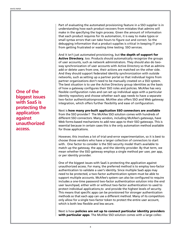Part of evaluating the automated provisioning feature in a SSO supplier is in understanding how each product recovers from mistakes that admins will make in the specifying the login process. Given the amount of information that each product requires for its automation, it is easy to make typos or small syntax errors that can take hours to figure out and correct. So the debugging information that a product supplies is critical in keeping IT pros from getting frustrated or wasting time testing SSO services.

And it isn't just automated provisioning, but the depth of support for Active Directory, too. Products should automatically recognize the groups of user accounts, such as network administrators. They should also do twoway synchronization of user accounts with Active Directory so that as admins add or delete users from one, their actions are matched on the other side. And they should support federated identity synchronization with outside networks, such as setting up a partner portal so that individual logins from partner organizations don't need to be manually created on a SSO system. The best situation is to use the Active Directory group identities as the basis of how a gateway configures their SSO roles and policies. McAfee has very flexible configuration rules and can set up individual apps with a particular identity repository and choose whether each app needs to have a separate two-factor authenticationprocess. McAfee also offers SSO and Web gateway integration, which offers further flexibility and ease of configuration.

Next is how many pre-built application SSO connectors are available from the SSO provider? The McAfee SSO solution comes with hundreds of different SSO connectors. Many vendors, including McAfee's gateways, have Web forms-based mechanisms to add new apps to their SSO gateways. This is essential because in certain cases this is the only automation method available for those applications.

However, this involves a lot of trial-and-error experimentation, so it is best to choose those vendors who have a larger collection of connectors to start with. One factor to consider is the SSO security model that's available to match up the gateway, the app, and the identity provider. By that term, we mean whether the SSO gateway employs a single method per user, per app, or per identity provider.

One of the biggest issues with SaaS is protecting the application against unauthorized access. For many, the preferred method is to employ two-factor authentication to validate a user's identity. Since multiple SaaS apps may need to be protected, a two-factor authentication system must be able to support multiple accounts. McAfee's system can also be configured to require includes a one-time password two-factor authentication solution into the end user launchpad, either with or without two-factor authentication to used to protect individual applications,to and provide the highest levels of security. This means that specific apps can be provisioned for stronger authentication methods so that each app can use a different method. Many of its competitors only allow for a single two-factor token to protect the entire user account, which is both less flexible and less secure.

Next is how policies are set up to connect particular identity providers with particular apps. The McAfee SSO solution comes with a large collec-

**One of the biggest issues with SaaS is protecting the application against unauthorized access.**